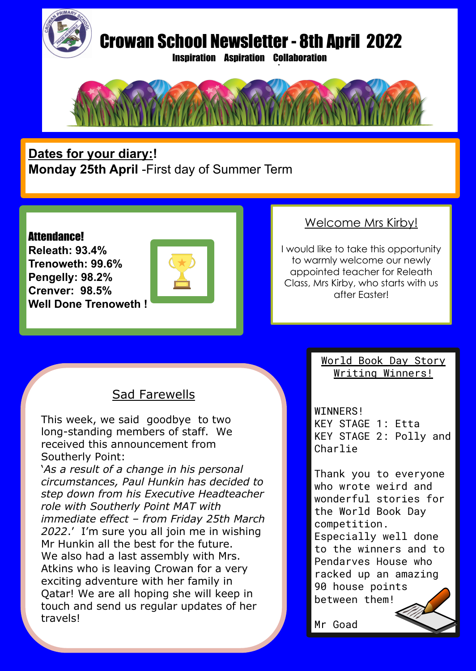

# Crowan School Newsletter - 8th April 2022

Inspiration Aspiration Collaboration .



**Dates for your diary:! Monday 25th April** -First day of Summer Term

#### Attendance!

**Releath: 93.4% Trenoweth: 99.6% Pengelly: 98.2% Crenver: 98.5% Well Done Trenoweth !**



### Welcome Mrs Kirby!

I would like to take this opportunity to warmly welcome our newly appointed teacher for Releath Class, Mrs Kirby, who starts with us after Easter!

## Sad Farewells

This week, we said goodbye to two long-standing members of staff. We received this announcement from Southerly Point:

'*As a result of a change in his personal circumstances, Paul Hunkin has decided to step down from his Executive Headteacher role with Southerly Point MAT with immediate effect – from Friday 25th March 2022*.' I'm sure you all join me in wishing Mr Hunkin all the best for the future. We also had a last assembly with Mrs. Atkins who is leaving Crowan for a very exciting adventure with her family in Qatar! We are all hoping she will keep in touch and send us regular updates of her travels!

World Book Day Story Writing Winners!

WINNERS! KEY STAGE 1: Etta KEY STAGE 2: Polly and Charlie

Thank you to everyone who wrote weird and wonderful stories for the World Book Day competition. Especially well done to the winners and to Pendarves House who racked up an amazing 90 house points between them!

Mr Goad